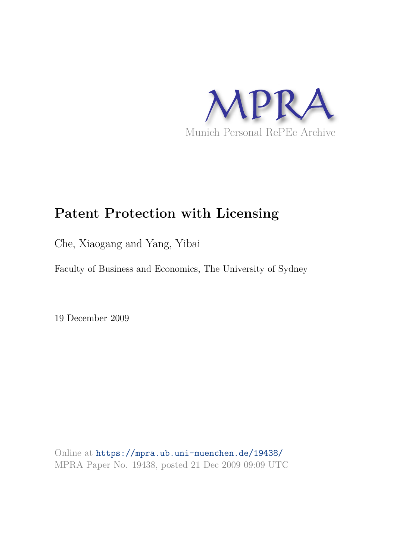

# **Patent Protection with Licensing**

Che, Xiaogang and Yang, Yibai

Faculty of Business and Economics, The University of Sydney

19 December 2009

Online at https://mpra.ub.uni-muenchen.de/19438/ MPRA Paper No. 19438, posted 21 Dec 2009 09:09 UTC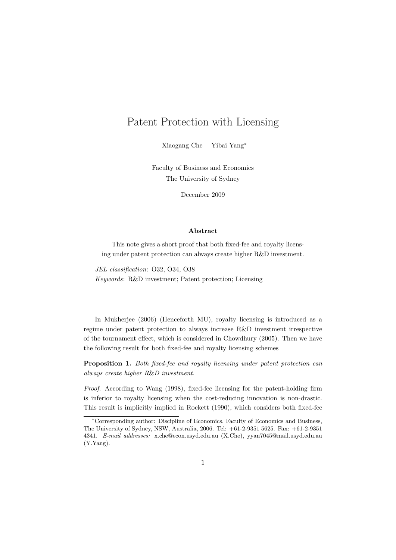# Patent Protection with Licensing

Xiaogang Che Yibai Yang<sup>∗</sup>

Faculty of Business and Economics The University of Sydney

December 2009

#### Abstract

This note gives a short proof that both fixed-fee and royalty licensing under patent protection can always create higher R&D investment.

JEL classification: O32, O34, O38 Keywords: R&D investment; Patent protection; Licensing

In Mukherjee (2006) (Henceforth MU), royalty licensing is introduced as a regime under patent protection to always increase R&D investment irrespective of the tournament effect, which is considered in Chowdhury (2005). Then we have the following result for both fixed-fee and royalty licensing schemes

Proposition 1. Both fixed-fee and royalty licensing under patent protection can always create higher R&D investment.

Proof. According to Wang (1998), fixed-fee licensing for the patent-holding firm is inferior to royalty licensing when the cost-reducing innovation is non-drastic. This result is implicitly implied in Rockett (1990), which considers both fixed-fee

<sup>∗</sup>Corresponding author: Discipline of Economics, Faculty of Economics and Business, The University of Sydney, NSW, Australia, 2006. Tel: +61-2-9351 5625. Fax: +61-2-9351 4341. E-mail addresses: x.che@econ.usyd.edu.au (X.Che), yyan7045@mail.usyd.edu.au (Y.Yang).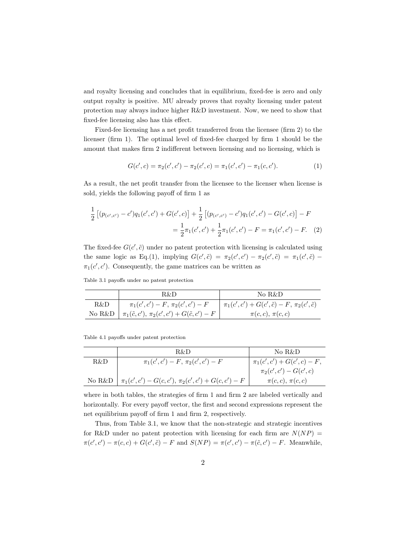and royalty licensing and concludes that in equilibrium, fixed-fee is zero and only output royalty is positive. MU already proves that royalty licensing under patent protection may always induce higher R&D investment. Now, we need to show that fixed-fee licensing also has this effect.

Fixed-fee licensing has a net profit transferred from the licensee (firm 2) to the licenser (firm 1). The optimal level of fixed-fee charged by firm 1 should be the amount that makes firm 2 indifferent between licensing and no licensing, which is

$$
G(c',c) = \pi_2(c',c') - \pi_2(c',c) = \pi_1(c',c') - \pi_1(c,c').
$$
 (1)

As a result, the net profit transfer from the licensee to the licenser when license is sold, yields the following payoff of firm 1 as

$$
\frac{1}{2} \left[ (p_{(c',c')} - c')q_1(c',c') + G(c',c) \right] + \frac{1}{2} \left[ (p_{(c',c')} - c')q_1(c',c') - G(c',c) \right] - F
$$
\n
$$
= \frac{1}{2} \pi_1(c',c') + \frac{1}{2} \pi_1(c',c') - F = \pi_1(c',c') - F. \tag{2}
$$

The fixed-fee  $G(c', \tilde{c})$  under no patent protection with licensing is calculated using the same logic as Eq.(1), implying  $G(c',\tilde{c}) = \pi_2(c',c') - \pi_2(c',\tilde{c}) = \pi_1(c',\tilde{c})$  $\pi_1(c', c')$ . Consequently, the game matrices can be written as

Table 3.1 payoffs under no patent protection

|     | R&D                                                                     | No R&D                                                          |
|-----|-------------------------------------------------------------------------|-----------------------------------------------------------------|
| R&D | $\pi_1(c',c') - F$ , $\pi_2(c',c') - F$                                 | $\pi_1(c', c') + G(c', \tilde{c}) - F$ , $\pi_2(c', \tilde{c})$ |
|     | No R&D $ \pi_1(\tilde{c}, c')$ , $\pi_2(c', c') + G(\tilde{c}, c') - F$ | $\pi(c,c), \pi(c,c)$                                            |

Table 4.1 payoffs under patent protection

|        | R&D                                                  | No R&D                                                    |
|--------|------------------------------------------------------|-----------------------------------------------------------|
| R&D    | $\pi_1(c',c') - F$ , $\pi_2(c',c') - F$              | $\pi_1(c',c') + G(c',c) - F,$<br>$\pi_2(c',c') - G(c',c)$ |
|        |                                                      |                                                           |
| No R&D | $\pi_1(c',c') - G(c,c'), \pi_2(c',c') + G(c,c') - F$ | $\pi(c,c), \pi(c,c)$                                      |
|        |                                                      |                                                           |

where in both tables, the strategies of firm 1 and firm 2 are labeled vertically and horizontally. For every payoff vector, the first and second expressions represent the net equilibrium payoff of firm 1 and firm 2, respectively.

Thus, from Table 3.1, we know that the non-strategic and strategic incentives for R&D under no patent protection with licensing for each firm are  $N(NP)$  =  $\pi(c', c') - \pi(c, c) + G(c', \tilde{c}) - F$  and  $S(NP) = \pi(c', c') - \pi(\tilde{c}, c') - F$ . Meanwhile,